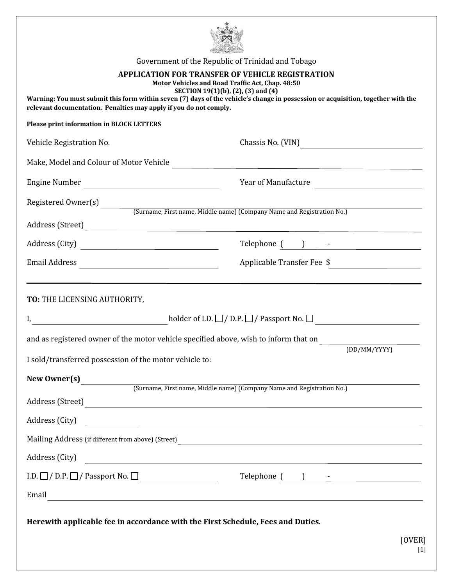| Government of the Republic of Trinidad and Tobago                                                                                                                                                                                           |                                                                                                                                                                                                                                                                                                                                                                                                                                          |  |  |  |  |  |
|---------------------------------------------------------------------------------------------------------------------------------------------------------------------------------------------------------------------------------------------|------------------------------------------------------------------------------------------------------------------------------------------------------------------------------------------------------------------------------------------------------------------------------------------------------------------------------------------------------------------------------------------------------------------------------------------|--|--|--|--|--|
| <b>APPLICATION FOR TRANSFER OF VEHICLE REGISTRATION</b><br>Motor Vehicles and Road Traffic Act, Chap. 48:50                                                                                                                                 |                                                                                                                                                                                                                                                                                                                                                                                                                                          |  |  |  |  |  |
| SECTION 19(1)(b), (2), (3) and (4)<br>Warning: You must submit this form within seven (7) days of the vehicle's change in possession or acquisition, together with the<br>relevant documentation. Penalties may apply if you do not comply. |                                                                                                                                                                                                                                                                                                                                                                                                                                          |  |  |  |  |  |
| <b>Please print information in BLOCK LETTERS</b>                                                                                                                                                                                            |                                                                                                                                                                                                                                                                                                                                                                                                                                          |  |  |  |  |  |
| Vehicle Registration No.                                                                                                                                                                                                                    |                                                                                                                                                                                                                                                                                                                                                                                                                                          |  |  |  |  |  |
| Make, Model and Colour of Motor Vehicle                                                                                                                                                                                                     |                                                                                                                                                                                                                                                                                                                                                                                                                                          |  |  |  |  |  |
|                                                                                                                                                                                                                                             | Year of Manufacture                                                                                                                                                                                                                                                                                                                                                                                                                      |  |  |  |  |  |
|                                                                                                                                                                                                                                             |                                                                                                                                                                                                                                                                                                                                                                                                                                          |  |  |  |  |  |
| Registered Owner(s) [Surname, First name, Middle name) (Company Name and Registration No.)<br>Address (Street)                                                                                                                              |                                                                                                                                                                                                                                                                                                                                                                                                                                          |  |  |  |  |  |
|                                                                                                                                                                                                                                             |                                                                                                                                                                                                                                                                                                                                                                                                                                          |  |  |  |  |  |
|                                                                                                                                                                                                                                             | $\begin{tabular}{c} Telephone & \textbf{0} & \textbf{1} & \textbf{1} & \textbf{2} & \textbf{3} & \textbf{3} & \textbf{4} \\ \hline \end{tabular}$                                                                                                                                                                                                                                                                                        |  |  |  |  |  |
|                                                                                                                                                                                                                                             | Applicable Transfer Fee \$                                                                                                                                                                                                                                                                                                                                                                                                               |  |  |  |  |  |
| TO: THE LICENSING AUTHORITY,                                                                                                                                                                                                                |                                                                                                                                                                                                                                                                                                                                                                                                                                          |  |  |  |  |  |
| $\text{holder of I.D.} \ \Box \ / \ \text{D.P.} \ \Box \ / \ \text{Passport No.} \ \Box \ \ \underline{\hspace{2cm}}$                                                                                                                       |                                                                                                                                                                                                                                                                                                                                                                                                                                          |  |  |  |  |  |
| and as registered owner of the motor vehicle specified above, wish to inform that on                                                                                                                                                        |                                                                                                                                                                                                                                                                                                                                                                                                                                          |  |  |  |  |  |
| (DD/MM/YYYY)<br>I sold/transferred possession of the motor vehicle to:                                                                                                                                                                      |                                                                                                                                                                                                                                                                                                                                                                                                                                          |  |  |  |  |  |
| New Owner(s)                                                                                                                                                                                                                                |                                                                                                                                                                                                                                                                                                                                                                                                                                          |  |  |  |  |  |
| (Surname, First name, Middle name) (Company Name and Registration No.)                                                                                                                                                                      |                                                                                                                                                                                                                                                                                                                                                                                                                                          |  |  |  |  |  |
| Address (Street)                                                                                                                                                                                                                            |                                                                                                                                                                                                                                                                                                                                                                                                                                          |  |  |  |  |  |
| Address (City)                                                                                                                                                                                                                              |                                                                                                                                                                                                                                                                                                                                                                                                                                          |  |  |  |  |  |
| Mailing Address (if different from above) (Street) Mailing Address (if different from above) (Street)                                                                                                                                       |                                                                                                                                                                                                                                                                                                                                                                                                                                          |  |  |  |  |  |
| Address (City)                                                                                                                                                                                                                              | <u> 1989 - Andrea Santa Alemania, amerikana amerikana amerikana amerikana amerikana amerikana amerikana amerikan</u>                                                                                                                                                                                                                                                                                                                     |  |  |  |  |  |
| I.D. $\Box$ / D.P. $\Box$ / Passport No. $\Box$                                                                                                                                                                                             | $\begin{tabular}{c} \bf Telephone \end{tabular} \begin{tabular}{c} \hspace*{-0.5cm} \begin{tabular}{c} \textbf{2} & \textbf{3} & \textbf{1} & \textbf{2} & \textbf{3} & \textbf{3} & \textbf{4} & \textbf{5} & \textbf{5} & \textbf{6} & \textbf{6} & \textbf{7} & \textbf{8} & \textbf{8} & \textbf{9} & \textbf{10} & \textbf{10} & \textbf{10} & \textbf{10} & \textbf{10} & \textbf{10} & \textbf{10} & \textbf{10} & \textbf{10} &$ |  |  |  |  |  |
| Email                                                                                                                                                                                                                                       | <u> 1989 - Andrea Santa Andrea Andrea Andrea Andrea Andrea Andrea Andrea Andrea Andrea Andrea Andrea Andrea Andr</u>                                                                                                                                                                                                                                                                                                                     |  |  |  |  |  |
|                                                                                                                                                                                                                                             |                                                                                                                                                                                                                                                                                                                                                                                                                                          |  |  |  |  |  |
| Herewith applicable fee in accordance with the First Schedule, Fees and Duties.                                                                                                                                                             |                                                                                                                                                                                                                                                                                                                                                                                                                                          |  |  |  |  |  |
|                                                                                                                                                                                                                                             | [OVER]<br>$[1]$                                                                                                                                                                                                                                                                                                                                                                                                                          |  |  |  |  |  |
|                                                                                                                                                                                                                                             |                                                                                                                                                                                                                                                                                                                                                                                                                                          |  |  |  |  |  |